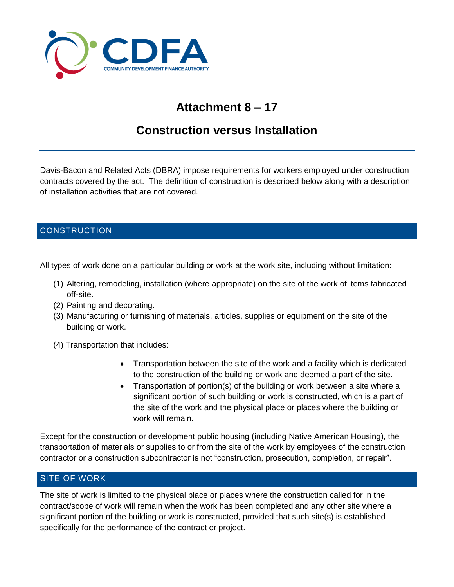

# **Attachment 8 – 17**

## **Construction versus Installation**

Davis-Bacon and Related Acts (DBRA) impose requirements for workers employed under construction contracts covered by the act. The definition of construction is described below along with a description of installation activities that are not covered.

### **CONSTRUCTION**

All types of work done on a particular building or work at the work site, including without limitation:

- (1) Altering, remodeling, installation (where appropriate) on the site of the work of items fabricated off-site.
- (2) Painting and decorating.
- (3) Manufacturing or furnishing of materials, articles, supplies or equipment on the site of the building or work.
- (4) Transportation that includes:
	- Transportation between the site of the work and a facility which is dedicated to the construction of the building or work and deemed a part of the site.
	- Transportation of portion(s) of the building or work between a site where a significant portion of such building or work is constructed, which is a part of the site of the work and the physical place or places where the building or work will remain.

Except for the construction or development public housing (including Native American Housing), the transportation of materials or supplies to or from the site of the work by employees of the construction contractor or a construction subcontractor is not "construction, prosecution, completion, or repair".

#### SITE OF WORK

The site of work is limited to the physical place or places where the construction called for in the contract/scope of work will remain when the work has been completed and any other site where a significant portion of the building or work is constructed, provided that such site(s) is established specifically for the performance of the contract or project.